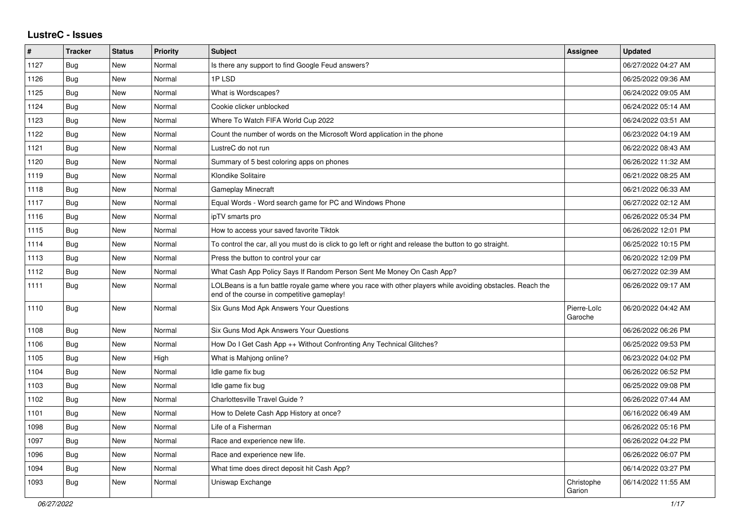## **LustreC - Issues**

| #    | <b>Tracker</b> | <b>Status</b> | <b>Priority</b> | <b>Subject</b>                                                                                                                                           | <b>Assignee</b>        | <b>Updated</b>      |
|------|----------------|---------------|-----------------|----------------------------------------------------------------------------------------------------------------------------------------------------------|------------------------|---------------------|
| 1127 | Bug            | <b>New</b>    | Normal          | Is there any support to find Google Feud answers?                                                                                                        |                        | 06/27/2022 04:27 AM |
| 1126 | Bug            | <b>New</b>    | Normal          | 1PLSD                                                                                                                                                    |                        | 06/25/2022 09:36 AM |
| 1125 | Bug            | <b>New</b>    | Normal          | What is Wordscapes?                                                                                                                                      |                        | 06/24/2022 09:05 AM |
| 1124 | Bug            | New           | Normal          | Cookie clicker unblocked                                                                                                                                 |                        | 06/24/2022 05:14 AM |
| 1123 | Bug            | New           | Normal          | Where To Watch FIFA World Cup 2022                                                                                                                       |                        | 06/24/2022 03:51 AM |
| 1122 | Bug            | New           | Normal          | Count the number of words on the Microsoft Word application in the phone                                                                                 |                        | 06/23/2022 04:19 AM |
| 1121 | Bug            | New           | Normal          | LustreC do not run                                                                                                                                       |                        | 06/22/2022 08:43 AM |
| 1120 | Bug            | <b>New</b>    | Normal          | Summary of 5 best coloring apps on phones                                                                                                                |                        | 06/26/2022 11:32 AM |
| 1119 | Bug            | <b>New</b>    | Normal          | Klondike Solitaire                                                                                                                                       |                        | 06/21/2022 08:25 AM |
| 1118 | Bug            | <b>New</b>    | Normal          | <b>Gameplay Minecraft</b>                                                                                                                                |                        | 06/21/2022 06:33 AM |
| 1117 | Bug            | New           | Normal          | Equal Words - Word search game for PC and Windows Phone                                                                                                  |                        | 06/27/2022 02:12 AM |
| 1116 | Bug            | <b>New</b>    | Normal          | ipTV smarts pro                                                                                                                                          |                        | 06/26/2022 05:34 PM |
| 1115 | Bug            | New           | Normal          | How to access your saved favorite Tiktok                                                                                                                 |                        | 06/26/2022 12:01 PM |
| 1114 | Bug            | New           | Normal          | To control the car, all you must do is click to go left or right and release the button to go straight.                                                  |                        | 06/25/2022 10:15 PM |
| 1113 | Bug            | <b>New</b>    | Normal          | Press the button to control your car                                                                                                                     |                        | 06/20/2022 12:09 PM |
| 1112 | Bug            | <b>New</b>    | Normal          | What Cash App Policy Says If Random Person Sent Me Money On Cash App?                                                                                    |                        | 06/27/2022 02:39 AM |
| 1111 | <b>Bug</b>     | <b>New</b>    | Normal          | LOLBeans is a fun battle royale game where you race with other players while avoiding obstacles. Reach the<br>end of the course in competitive gameplay! |                        | 06/26/2022 09:17 AM |
| 1110 | Bug            | <b>New</b>    | Normal          | Six Guns Mod Apk Answers Your Questions                                                                                                                  | Pierre-Loïc<br>Garoche | 06/20/2022 04:42 AM |
| 1108 | Bug            | <b>New</b>    | Normal          | Six Guns Mod Apk Answers Your Questions                                                                                                                  |                        | 06/26/2022 06:26 PM |
| 1106 | Bug            | New           | Normal          | How Do I Get Cash App ++ Without Confronting Any Technical Glitches?                                                                                     |                        | 06/25/2022 09:53 PM |
| 1105 | Bug            | <b>New</b>    | High            | What is Mahjong online?                                                                                                                                  |                        | 06/23/2022 04:02 PM |
| 1104 | Bug            | New           | Normal          | Idle game fix bug                                                                                                                                        |                        | 06/26/2022 06:52 PM |
| 1103 | Bug            | <b>New</b>    | Normal          | Idle game fix bug                                                                                                                                        |                        | 06/25/2022 09:08 PM |
| 1102 | Bug            | New           | Normal          | Charlottesville Travel Guide?                                                                                                                            |                        | 06/26/2022 07:44 AM |
| 1101 | Bug            | <b>New</b>    | Normal          | How to Delete Cash App History at once?                                                                                                                  |                        | 06/16/2022 06:49 AM |
| 1098 | Bug            | New           | Normal          | Life of a Fisherman                                                                                                                                      |                        | 06/26/2022 05:16 PM |
| 1097 | Bug            | New           | Normal          | Race and experience new life.                                                                                                                            |                        | 06/26/2022 04:22 PM |
| 1096 | Bug            | <b>New</b>    | Normal          | Race and experience new life.                                                                                                                            |                        | 06/26/2022 06:07 PM |
| 1094 | Bug            | New           | Normal          | What time does direct deposit hit Cash App?                                                                                                              |                        | 06/14/2022 03:27 PM |
| 1093 | Bug            | New           | Normal          | Uniswap Exchange                                                                                                                                         | Christophe<br>Garion   | 06/14/2022 11:55 AM |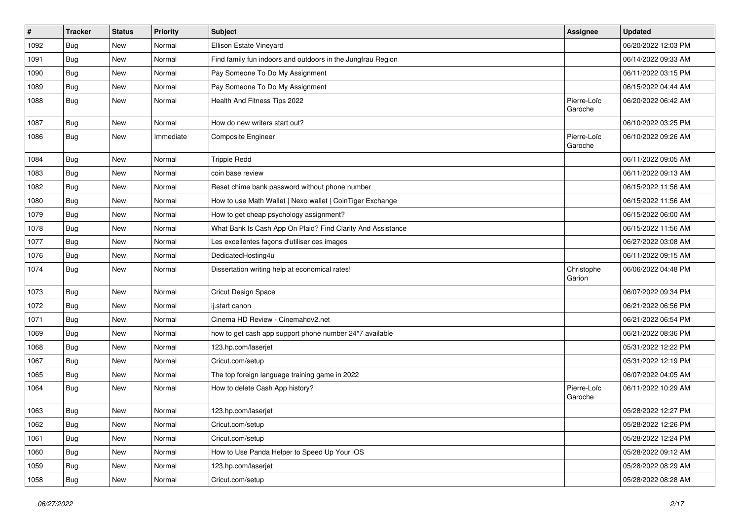| $\pmb{\#}$ | <b>Tracker</b> | <b>Status</b> | <b>Priority</b> | Subject                                                     | <b>Assignee</b>        | <b>Updated</b>      |
|------------|----------------|---------------|-----------------|-------------------------------------------------------------|------------------------|---------------------|
| 1092       | <b>Bug</b>     | New           | Normal          | Ellison Estate Vineyard                                     |                        | 06/20/2022 12:03 PM |
| 1091       | Bug            | New           | Normal          | Find family fun indoors and outdoors in the Jungfrau Region |                        | 06/14/2022 09:33 AM |
| 1090       | Bug            | New           | Normal          | Pay Someone To Do My Assignment                             |                        | 06/11/2022 03:15 PM |
| 1089       | Bug            | New           | Normal          | Pay Someone To Do My Assignment                             |                        | 06/15/2022 04:44 AM |
| 1088       | <b>Bug</b>     | New           | Normal          | Health And Fitness Tips 2022                                | Pierre-Loïc<br>Garoche | 06/20/2022 06:42 AM |
| 1087       | Bug            | New           | Normal          | How do new writers start out?                               |                        | 06/10/2022 03:25 PM |
| 1086       | Bug            | New           | Immediate       | Composite Engineer                                          | Pierre-Loïc<br>Garoche | 06/10/2022 09:26 AM |
| 1084       | Bug            | New           | Normal          | <b>Trippie Redd</b>                                         |                        | 06/11/2022 09:05 AM |
| 1083       | Bug            | New           | Normal          | coin base review                                            |                        | 06/11/2022 09:13 AM |
| 1082       | Bug            | New           | Normal          | Reset chime bank password without phone number              |                        | 06/15/2022 11:56 AM |
| 1080       | Bug            | New           | Normal          | How to use Math Wallet   Nexo wallet   CoinTiger Exchange   |                        | 06/15/2022 11:56 AM |
| 1079       | Bug            | New           | Normal          | How to get cheap psychology assignment?                     |                        | 06/15/2022 06:00 AM |
| 1078       | Bug            | New           | Normal          | What Bank Is Cash App On Plaid? Find Clarity And Assistance |                        | 06/15/2022 11:56 AM |
| 1077       | <b>Bug</b>     | New           | Normal          | Les excellentes façons d'utiliser ces images                |                        | 06/27/2022 03:08 AM |
| 1076       | Bug            | New           | Normal          | DedicatedHosting4u                                          |                        | 06/11/2022 09:15 AM |
| 1074       | Bug            | New           | Normal          | Dissertation writing help at economical rates!              | Christophe<br>Garion   | 06/06/2022 04:48 PM |
| 1073       | Bug            | New           | Normal          | Cricut Design Space                                         |                        | 06/07/2022 09:34 PM |
| 1072       | Bug            | New           | Normal          | ij.start canon                                              |                        | 06/21/2022 06:56 PM |
| 1071       | Bug            | New           | Normal          | Cinema HD Review - Cinemahdv2.net                           |                        | 06/21/2022 06:54 PM |
| 1069       | Bug            | New           | Normal          | how to get cash app support phone number 24*7 available     |                        | 06/21/2022 08:36 PM |
| 1068       | Bug            | New           | Normal          | 123.hp.com/laserjet                                         |                        | 05/31/2022 12:22 PM |
| 1067       | Bug            | New           | Normal          | Cricut.com/setup                                            |                        | 05/31/2022 12:19 PM |
| 1065       | Bug            | New           | Normal          | The top foreign language training game in 2022              |                        | 06/07/2022 04:05 AM |
| 1064       | Bug            | New           | Normal          | How to delete Cash App history?                             | Pierre-Loïc<br>Garoche | 06/11/2022 10:29 AM |
| 1063       | Bug            | New           | Normal          | 123.hp.com/laserjet                                         |                        | 05/28/2022 12:27 PM |
| 1062       | <b>Bug</b>     | New           | Normal          | Cricut.com/setup                                            |                        | 05/28/2022 12:26 PM |
| 1061       | <b>Bug</b>     | New           | Normal          | Cricut.com/setup                                            |                        | 05/28/2022 12:24 PM |
| 1060       | <b>Bug</b>     | New           | Normal          | How to Use Panda Helper to Speed Up Your iOS                |                        | 05/28/2022 09:12 AM |
| 1059       | <b>Bug</b>     | New           | Normal          | 123.hp.com/laserjet                                         |                        | 05/28/2022 08:29 AM |
| 1058       | Bug            | New           | Normal          | Cricut.com/setup                                            |                        | 05/28/2022 08:28 AM |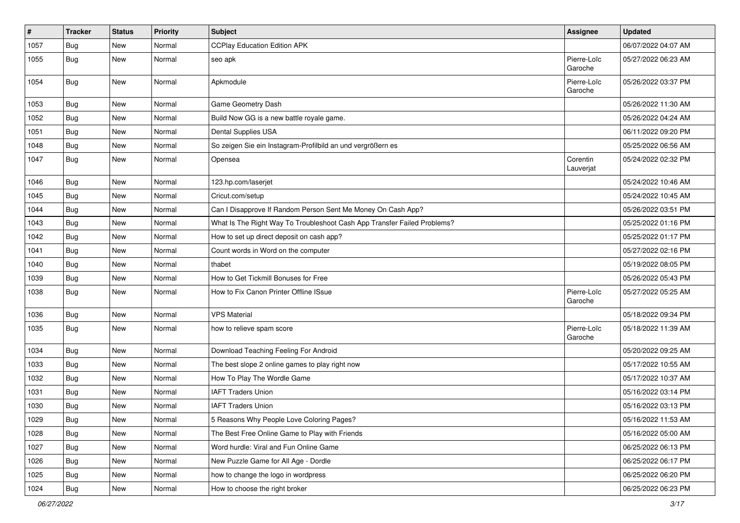| $\vert$ # | Tracker    | <b>Status</b> | <b>Priority</b> | <b>Subject</b>                                                           | <b>Assignee</b>        | <b>Updated</b>      |
|-----------|------------|---------------|-----------------|--------------------------------------------------------------------------|------------------------|---------------------|
| 1057      | Bug        | New           | Normal          | <b>CCPlay Education Edition APK</b>                                      |                        | 06/07/2022 04:07 AM |
| 1055      | Bug        | New           | Normal          | seo apk                                                                  | Pierre-Loïc<br>Garoche | 05/27/2022 06:23 AM |
| 1054      | Bug        | New           | Normal          | Apkmodule                                                                | Pierre-Loïc<br>Garoche | 05/26/2022 03:37 PM |
| 1053      | Bug        | New           | Normal          | Game Geometry Dash                                                       |                        | 05/26/2022 11:30 AM |
| 1052      | Bug        | New           | Normal          | Build Now GG is a new battle royale game.                                |                        | 05/26/2022 04:24 AM |
| 1051      | Bug        | New           | Normal          | Dental Supplies USA                                                      |                        | 06/11/2022 09:20 PM |
| 1048      | Bug        | New           | Normal          | So zeigen Sie ein Instagram-Profilbild an und vergrößern es              |                        | 05/25/2022 06:56 AM |
| 1047      | Bug        | New           | Normal          | Opensea                                                                  | Corentin<br>Lauverjat  | 05/24/2022 02:32 PM |
| 1046      | <b>Bug</b> | <b>New</b>    | Normal          | 123.hp.com/laserjet                                                      |                        | 05/24/2022 10:46 AM |
| 1045      | Bug        | New           | Normal          | Cricut.com/setup                                                         |                        | 05/24/2022 10:45 AM |
| 1044      | Bug        | New           | Normal          | Can I Disapprove If Random Person Sent Me Money On Cash App?             |                        | 05/26/2022 03:51 PM |
| 1043      | Bug        | New           | Normal          | What Is The Right Way To Troubleshoot Cash App Transfer Failed Problems? |                        | 05/25/2022 01:16 PM |
| 1042      | Bug        | New           | Normal          | How to set up direct deposit on cash app?                                |                        | 05/25/2022 01:17 PM |
| 1041      | Bug        | New           | Normal          | Count words in Word on the computer                                      |                        | 05/27/2022 02:16 PM |
| 1040      | Bug        | New           | Normal          | thabet                                                                   |                        | 05/19/2022 08:05 PM |
| 1039      | Bug        | New           | Normal          | How to Get Tickmill Bonuses for Free                                     |                        | 05/26/2022 05:43 PM |
| 1038      | Bug        | New           | Normal          | How to Fix Canon Printer Offline ISsue                                   | Pierre-Loïc<br>Garoche | 05/27/2022 05:25 AM |
| 1036      | Bug        | New           | Normal          | <b>VPS Material</b>                                                      |                        | 05/18/2022 09:34 PM |
| 1035      | Bug        | New           | Normal          | how to relieve spam score                                                | Pierre-Loïc<br>Garoche | 05/18/2022 11:39 AM |
| 1034      | Bug        | New           | Normal          | Download Teaching Feeling For Android                                    |                        | 05/20/2022 09:25 AM |
| 1033      | <b>Bug</b> | New           | Normal          | The best slope 2 online games to play right now                          |                        | 05/17/2022 10:55 AM |
| 1032      | Bug        | New           | Normal          | How To Play The Wordle Game                                              |                        | 05/17/2022 10:37 AM |
| 1031      | Bug        | New           | Normal          | <b>IAFT Traders Union</b>                                                |                        | 05/16/2022 03:14 PM |
| 1030      | Bug        | New           | Normal          | <b>IAFT Traders Union</b>                                                |                        | 05/16/2022 03:13 PM |
| 1029      | Bug        | New           | Normal          | 5 Reasons Why People Love Coloring Pages?                                |                        | 05/16/2022 11:53 AM |
| 1028      | Bug        | New           | Normal          | The Best Free Online Game to Play with Friends                           |                        | 05/16/2022 05:00 AM |
| 1027      | Bug        | New           | Normal          | Word hurdle: Viral and Fun Online Game                                   |                        | 06/25/2022 06:13 PM |
| 1026      | Bug        | New           | Normal          | New Puzzle Game for All Age - Dordle                                     |                        | 06/25/2022 06:17 PM |
| 1025      | Bug        | New           | Normal          | how to change the logo in wordpress                                      |                        | 06/25/2022 06:20 PM |
| 1024      | Bug        | New           | Normal          | How to choose the right broker                                           |                        | 06/25/2022 06:23 PM |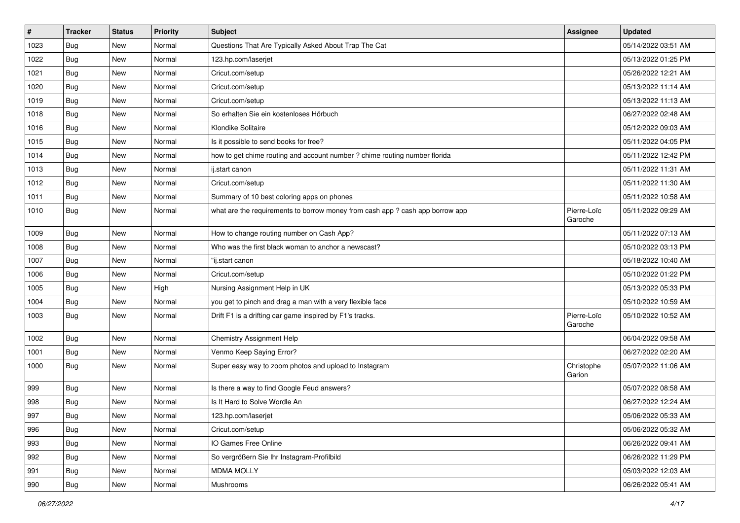| $\vert$ # | <b>Tracker</b> | <b>Status</b> | <b>Priority</b> | <b>Subject</b>                                                                | <b>Assignee</b>        | <b>Updated</b>      |
|-----------|----------------|---------------|-----------------|-------------------------------------------------------------------------------|------------------------|---------------------|
| 1023      | <b>Bug</b>     | New           | Normal          | Questions That Are Typically Asked About Trap The Cat                         |                        | 05/14/2022 03:51 AM |
| 1022      | Bug            | New           | Normal          | 123.hp.com/laserjet                                                           |                        | 05/13/2022 01:25 PM |
| 1021      | Bug            | New           | Normal          | Cricut.com/setup                                                              |                        | 05/26/2022 12:21 AM |
| 1020      | Bug            | New           | Normal          | Cricut.com/setup                                                              |                        | 05/13/2022 11:14 AM |
| 1019      | Bug            | New           | Normal          | Cricut.com/setup                                                              |                        | 05/13/2022 11:13 AM |
| 1018      | <b>Bug</b>     | New           | Normal          | So erhalten Sie ein kostenloses Hörbuch                                       |                        | 06/27/2022 02:48 AM |
| 1016      | Bug            | New           | Normal          | Klondike Solitaire                                                            |                        | 05/12/2022 09:03 AM |
| 1015      | <b>Bug</b>     | New           | Normal          | Is it possible to send books for free?                                        |                        | 05/11/2022 04:05 PM |
| 1014      | Bug            | New           | Normal          | how to get chime routing and account number ? chime routing number florida    |                        | 05/11/2022 12:42 PM |
| 1013      | Bug            | New           | Normal          | ij.start canon                                                                |                        | 05/11/2022 11:31 AM |
| 1012      | Bug            | New           | Normal          | Cricut.com/setup                                                              |                        | 05/11/2022 11:30 AM |
| 1011      | <b>Bug</b>     | New           | Normal          | Summary of 10 best coloring apps on phones                                    |                        | 05/11/2022 10:58 AM |
| 1010      | Bug            | New           | Normal          | what are the requirements to borrow money from cash app ? cash app borrow app | Pierre-Loïc<br>Garoche | 05/11/2022 09:29 AM |
| 1009      | Bug            | New           | Normal          | How to change routing number on Cash App?                                     |                        | 05/11/2022 07:13 AM |
| 1008      | Bug            | New           | Normal          | Who was the first black woman to anchor a newscast?                           |                        | 05/10/2022 03:13 PM |
| 1007      | Bug            | New           | Normal          | "ij.start canon                                                               |                        | 05/18/2022 10:40 AM |
| 1006      | Bug            | New           | Normal          | Cricut.com/setup                                                              |                        | 05/10/2022 01:22 PM |
| 1005      | Bug            | New           | High            | Nursing Assignment Help in UK                                                 |                        | 05/13/2022 05:33 PM |
| 1004      | Bug            | New           | Normal          | you get to pinch and drag a man with a very flexible face                     |                        | 05/10/2022 10:59 AM |
| 1003      | Bug            | New           | Normal          | Drift F1 is a drifting car game inspired by F1's tracks.                      | Pierre-Loïc<br>Garoche | 05/10/2022 10:52 AM |
| 1002      | Bug            | New           | Normal          | Chemistry Assignment Help                                                     |                        | 06/04/2022 09:58 AM |
| 1001      | Bug            | New           | Normal          | Venmo Keep Saying Error?                                                      |                        | 06/27/2022 02:20 AM |
| 1000      | Bug            | New           | Normal          | Super easy way to zoom photos and upload to Instagram                         | Christophe<br>Garion   | 05/07/2022 11:06 AM |
| 999       | Bug            | New           | Normal          | Is there a way to find Google Feud answers?                                   |                        | 05/07/2022 08:58 AM |
| 998       | Bug            | New           | Normal          | Is It Hard to Solve Wordle An                                                 |                        | 06/27/2022 12:24 AM |
| 997       | Bug            | New           | Normal          | 123.hp.com/laserjet                                                           |                        | 05/06/2022 05:33 AM |
| 996       | Bug            | New           | Normal          | Cricut.com/setup                                                              |                        | 05/06/2022 05:32 AM |
| 993       | Bug            | New           | Normal          | IO Games Free Online                                                          |                        | 06/26/2022 09:41 AM |
| 992       | Bug            | New           | Normal          | So vergrößern Sie Ihr Instagram-Profilbild                                    |                        | 06/26/2022 11:29 PM |
| 991       | Bug            | New           | Normal          | <b>MDMA MOLLY</b>                                                             |                        | 05/03/2022 12:03 AM |
| 990       | <b>Bug</b>     | New           | Normal          | Mushrooms                                                                     |                        | 06/26/2022 05:41 AM |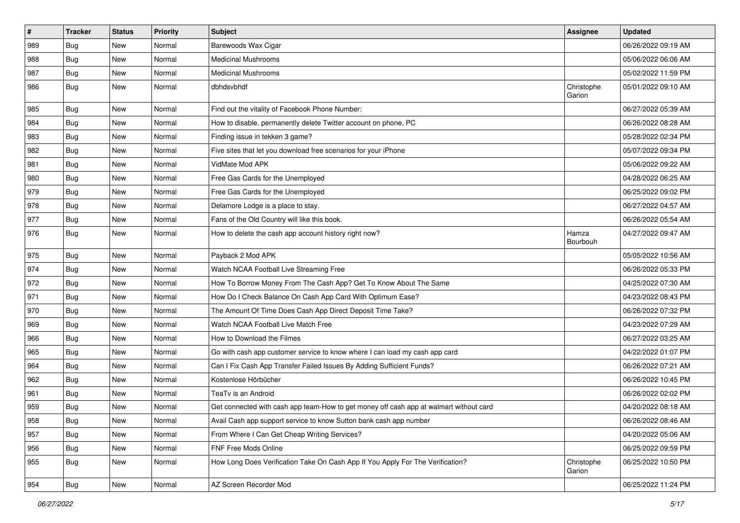| $\vert$ # | Tracker    | <b>Status</b> | <b>Priority</b> | <b>Subject</b>                                                                         | <b>Assignee</b>      | <b>Updated</b>      |
|-----------|------------|---------------|-----------------|----------------------------------------------------------------------------------------|----------------------|---------------------|
| 989       | <b>Bug</b> | New           | Normal          | Barewoods Wax Cigar                                                                    |                      | 06/26/2022 09:19 AM |
| 988       | Bug        | New           | Normal          | <b>Medicinal Mushrooms</b>                                                             |                      | 05/06/2022 06:06 AM |
| 987       | Bug        | New           | Normal          | <b>Medicinal Mushrooms</b>                                                             |                      | 05/02/2022 11:59 PM |
| 986       | Bug        | New           | Normal          | dbhdsvbhdf                                                                             | Christophe<br>Garion | 05/01/2022 09:10 AM |
| 985       | <b>Bug</b> | New           | Normal          | Find out the vitality of Facebook Phone Number:                                        |                      | 06/27/2022 05:39 AM |
| 984       | Bug        | New           | Normal          | How to disable, permanently delete Twitter account on phone, PC                        |                      | 06/26/2022 08:28 AM |
| 983       | Bug        | New           | Normal          | Finding issue in tekken 3 game?                                                        |                      | 05/28/2022 02:34 PM |
| 982       | <b>Bug</b> | New           | Normal          | Five sites that let you download free scenarios for your iPhone                        |                      | 05/07/2022 09:34 PM |
| 981       | Bug        | New           | Normal          | VidMate Mod APK                                                                        |                      | 05/06/2022 09:22 AM |
| 980       | <b>Bug</b> | New           | Normal          | Free Gas Cards for the Unemployed                                                      |                      | 04/28/2022 06:25 AM |
| 979       | <b>Bug</b> | New           | Normal          | Free Gas Cards for the Unemployed                                                      |                      | 06/25/2022 09:02 PM |
| 978       | Bug        | New           | Normal          | Delamore Lodge is a place to stay.                                                     |                      | 06/27/2022 04:57 AM |
| 977       | Bug        | New           | Normal          | Fans of the Old Country will like this book.                                           |                      | 06/26/2022 05:54 AM |
| 976       | <b>Bug</b> | New           | Normal          | How to delete the cash app account history right now?                                  | Hamza<br>Bourbouh    | 04/27/2022 09:47 AM |
| 975       | Bug        | New           | Normal          | Payback 2 Mod APK                                                                      |                      | 05/05/2022 10:56 AM |
| 974       | Bug        | New           | Normal          | Watch NCAA Football Live Streaming Free                                                |                      | 06/26/2022 05:33 PM |
| 972       | <b>Bug</b> | New           | Normal          | How To Borrow Money From The Cash App? Get To Know About The Same                      |                      | 04/25/2022 07:30 AM |
| 971       | <b>Bug</b> | New           | Normal          | How Do I Check Balance On Cash App Card With Optimum Ease?                             |                      | 04/23/2022 08:43 PM |
| 970       | Bug        | New           | Normal          | The Amount Of Time Does Cash App Direct Deposit Time Take?                             |                      | 06/26/2022 07:32 PM |
| 969       | <b>Bug</b> | New           | Normal          | Watch NCAA Football Live Match Free                                                    |                      | 04/23/2022 07:29 AM |
| 966       | Bug        | New           | Normal          | How to Download the Filmes                                                             |                      | 06/27/2022 03:25 AM |
| 965       | Bug        | New           | Normal          | Go with cash app customer service to know where I can load my cash app card            |                      | 04/22/2022 01:07 PM |
| 964       | Bug        | New           | Normal          | Can I Fix Cash App Transfer Failed Issues By Adding Sufficient Funds?                  |                      | 06/26/2022 07:21 AM |
| 962       | <b>Bug</b> | New           | Normal          | Kostenlose Hörbücher                                                                   |                      | 06/26/2022 10:45 PM |
| 961       | Bug        | New           | Normal          | TeaTv is an Android                                                                    |                      | 06/26/2022 02:02 PM |
| 959       | <b>Bug</b> | New           | Normal          | Get connected with cash app team-How to get money off cash app at walmart without card |                      | 04/20/2022 08:18 AM |
| 958       | <b>Bug</b> | New           | Normal          | Avail Cash app support service to know Sutton bank cash app number                     |                      | 06/26/2022 08:46 AM |
| 957       | Bug        | New           | Normal          | From Where I Can Get Cheap Writing Services?                                           |                      | 04/20/2022 05:06 AM |
| 956       | Bug        | New           | Normal          | FNF Free Mods Online                                                                   |                      | 06/25/2022 09:59 PM |
| 955       | <b>Bug</b> | New           | Normal          | How Long Does Verification Take On Cash App If You Apply For The Verification?         | Christophe<br>Garion | 06/25/2022 10:50 PM |
| 954       | Bug        | New           | Normal          | AZ Screen Recorder Mod                                                                 |                      | 06/25/2022 11:24 PM |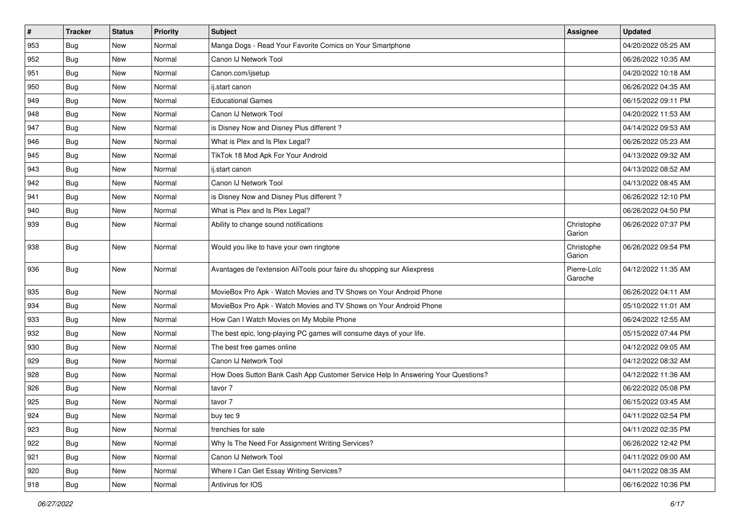| $\vert$ # | <b>Tracker</b> | <b>Status</b> | Priority | Subject                                                                          | Assignee               | <b>Updated</b>      |
|-----------|----------------|---------------|----------|----------------------------------------------------------------------------------|------------------------|---------------------|
| 953       | Bug            | New           | Normal   | Manga Dogs - Read Your Favorite Comics on Your Smartphone                        |                        | 04/20/2022 05:25 AM |
| 952       | Bug            | New           | Normal   | Canon IJ Network Tool                                                            |                        | 06/26/2022 10:35 AM |
| 951       | <b>Bug</b>     | New           | Normal   | Canon.com/ijsetup                                                                |                        | 04/20/2022 10:18 AM |
| 950       | <b>Bug</b>     | New           | Normal   | ij.start canon                                                                   |                        | 06/26/2022 04:35 AM |
| 949       | Bug            | New           | Normal   | <b>Educational Games</b>                                                         |                        | 06/15/2022 09:11 PM |
| 948       | Bug            | New           | Normal   | Canon IJ Network Tool                                                            |                        | 04/20/2022 11:53 AM |
| 947       | Bug            | New           | Normal   | is Disney Now and Disney Plus different?                                         |                        | 04/14/2022 09:53 AM |
| 946       | Bug            | New           | Normal   | What is Plex and Is Plex Legal?                                                  |                        | 06/26/2022 05:23 AM |
| 945       | Bug            | New           | Normal   | TikTok 18 Mod Apk For Your Android                                               |                        | 04/13/2022 09:32 AM |
| 943       | Bug            | New           | Normal   | ij.start canon                                                                   |                        | 04/13/2022 08:52 AM |
| 942       | Bug            | New           | Normal   | Canon IJ Network Tool                                                            |                        | 04/13/2022 08:45 AM |
| 941       | <b>Bug</b>     | New           | Normal   | is Disney Now and Disney Plus different?                                         |                        | 06/26/2022 12:10 PM |
| 940       | Bug            | New           | Normal   | What is Plex and Is Plex Legal?                                                  |                        | 06/26/2022 04:50 PM |
| 939       | Bug            | New           | Normal   | Ability to change sound notifications                                            | Christophe<br>Garion   | 06/26/2022 07:37 PM |
| 938       | Bug            | New           | Normal   | Would you like to have your own ringtone                                         | Christophe<br>Garion   | 06/26/2022 09:54 PM |
| 936       | Bug            | New           | Normal   | Avantages de l'extension AliTools pour faire du shopping sur Aliexpress          | Pierre-Loïc<br>Garoche | 04/12/2022 11:35 AM |
| 935       | <b>Bug</b>     | New           | Normal   | MovieBox Pro Apk - Watch Movies and TV Shows on Your Android Phone               |                        | 06/26/2022 04:11 AM |
| 934       | Bug            | New           | Normal   | MovieBox Pro Apk - Watch Movies and TV Shows on Your Android Phone               |                        | 05/10/2022 11:01 AM |
| 933       | <b>Bug</b>     | New           | Normal   | How Can I Watch Movies on My Mobile Phone                                        |                        | 06/24/2022 12:55 AM |
| 932       | Bug            | New           | Normal   | The best epic, long-playing PC games will consume days of your life.             |                        | 05/15/2022 07:44 PM |
| 930       | Bug            | New           | Normal   | The best free games online                                                       |                        | 04/12/2022 09:05 AM |
| 929       | Bug            | New           | Normal   | Canon IJ Network Tool                                                            |                        | 04/12/2022 08:32 AM |
| 928       | Bug            | New           | Normal   | How Does Sutton Bank Cash App Customer Service Help In Answering Your Questions? |                        | 04/12/2022 11:36 AM |
| 926       | Bug            | New           | Normal   | tavor 7                                                                          |                        | 06/22/2022 05:08 PM |
| 925       | Bug            | New           | Normal   | tavor 7                                                                          |                        | 06/15/2022 03:45 AM |
| 924       | Bug            | New           | Normal   | buy tec 9                                                                        |                        | 04/11/2022 02:54 PM |
| 923       | Bug            | New           | Normal   | frenchies for sale                                                               |                        | 04/11/2022 02:35 PM |
| 922       | Bug            | <b>New</b>    | Normal   | Why Is The Need For Assignment Writing Services?                                 |                        | 06/26/2022 12:42 PM |
| 921       | Bug            | New           | Normal   | Canon IJ Network Tool                                                            |                        | 04/11/2022 09:00 AM |
| 920       | Bug            | New           | Normal   | Where I Can Get Essay Writing Services?                                          |                        | 04/11/2022 08:35 AM |
| 918       | Bug            | New           | Normal   | Antivirus for IOS                                                                |                        | 06/16/2022 10:36 PM |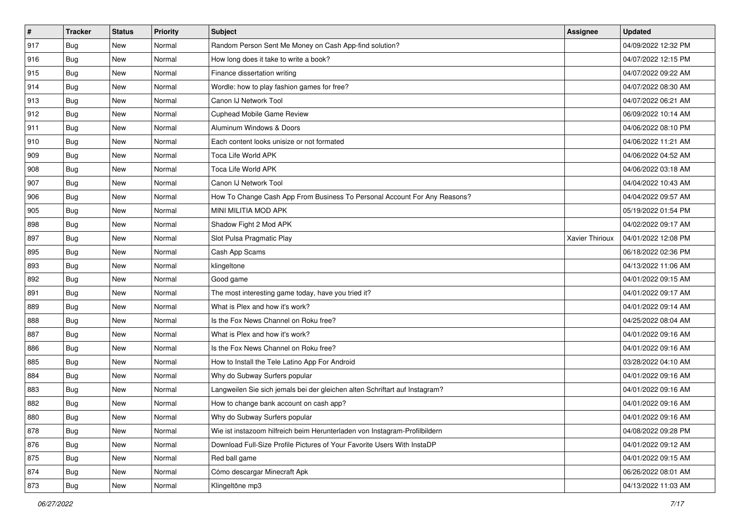| $\vert$ # | <b>Tracker</b> | <b>Status</b> | Priority | Subject                                                                     | <b>Assignee</b> | <b>Updated</b>      |
|-----------|----------------|---------------|----------|-----------------------------------------------------------------------------|-----------------|---------------------|
| 917       | Bug            | New           | Normal   | Random Person Sent Me Money on Cash App-find solution?                      |                 | 04/09/2022 12:32 PM |
| 916       | Bug            | New           | Normal   | How long does it take to write a book?                                      |                 | 04/07/2022 12:15 PM |
| 915       | <b>Bug</b>     | New           | Normal   | Finance dissertation writing                                                |                 | 04/07/2022 09:22 AM |
| 914       | <b>Bug</b>     | New           | Normal   | Wordle: how to play fashion games for free?                                 |                 | 04/07/2022 08:30 AM |
| 913       | Bug            | New           | Normal   | Canon IJ Network Tool                                                       |                 | 04/07/2022 06:21 AM |
| 912       | Bug            | New           | Normal   | <b>Cuphead Mobile Game Review</b>                                           |                 | 06/09/2022 10:14 AM |
| 911       | <b>Bug</b>     | New           | Normal   | Aluminum Windows & Doors                                                    |                 | 04/06/2022 08:10 PM |
| 910       | Bug            | New           | Normal   | Each content looks unisize or not formated                                  |                 | 04/06/2022 11:21 AM |
| 909       | Bug            | New           | Normal   | Toca Life World APK                                                         |                 | 04/06/2022 04:52 AM |
| 908       | Bug            | New           | Normal   | Toca Life World APK                                                         |                 | 04/06/2022 03:18 AM |
| 907       | Bug            | New           | Normal   | Canon IJ Network Tool                                                       |                 | 04/04/2022 10:43 AM |
| 906       | Bug            | New           | Normal   | How To Change Cash App From Business To Personal Account For Any Reasons?   |                 | 04/04/2022 09:57 AM |
| 905       | Bug            | New           | Normal   | MINI MILITIA MOD APK                                                        |                 | 05/19/2022 01:54 PM |
| 898       | <b>Bug</b>     | New           | Normal   | Shadow Fight 2 Mod APK                                                      |                 | 04/02/2022 09:17 AM |
| 897       | Bug            | New           | Normal   | Slot Pulsa Pragmatic Play                                                   | Xavier Thirioux | 04/01/2022 12:08 PM |
| 895       | Bug            | New           | Normal   | Cash App Scams                                                              |                 | 06/18/2022 02:36 PM |
| 893       | Bug            | New           | Normal   | klingeltone                                                                 |                 | 04/13/2022 11:06 AM |
| 892       | Bug            | New           | Normal   | Good game                                                                   |                 | 04/01/2022 09:15 AM |
| 891       | <b>Bug</b>     | New           | Normal   | The most interesting game today, have you tried it?                         |                 | 04/01/2022 09:17 AM |
| 889       | Bug            | New           | Normal   | What is Plex and how it's work?                                             |                 | 04/01/2022 09:14 AM |
| 888       | Bug            | New           | Normal   | Is the Fox News Channel on Roku free?                                       |                 | 04/25/2022 08:04 AM |
| 887       | Bug            | New           | Normal   | What is Plex and how it's work?                                             |                 | 04/01/2022 09:16 AM |
| 886       | Bug            | New           | Normal   | Is the Fox News Channel on Roku free?                                       |                 | 04/01/2022 09:16 AM |
| 885       | Bug            | New           | Normal   | How to Install the Tele Latino App For Android                              |                 | 03/28/2022 04:10 AM |
| 884       | <b>Bug</b>     | New           | Normal   | Why do Subway Surfers popular                                               |                 | 04/01/2022 09:16 AM |
| 883       | Bug            | New           | Normal   | Langweilen Sie sich jemals bei der gleichen alten Schriftart auf Instagram? |                 | 04/01/2022 09:16 AM |
| 882       | <b>Bug</b>     | New           | Normal   | How to change bank account on cash app?                                     |                 | 04/01/2022 09:16 AM |
| 880       | <b>Bug</b>     | New           | Normal   | Why do Subway Surfers popular                                               |                 | 04/01/2022 09:16 AM |
| 878       | <b>Bug</b>     | New           | Normal   | Wie ist instazoom hilfreich beim Herunterladen von Instagram-Profilbildern  |                 | 04/08/2022 09:28 PM |
| 876       | Bug            | New           | Normal   | Download Full-Size Profile Pictures of Your Favorite Users With InstaDP     |                 | 04/01/2022 09:12 AM |
| 875       | Bug            | New           | Normal   | Red ball game                                                               |                 | 04/01/2022 09:15 AM |
| 874       | <b>Bug</b>     | New           | Normal   | Cómo descargar Minecraft Apk                                                |                 | 06/26/2022 08:01 AM |
| 873       | <b>Bug</b>     | New           | Normal   | Klingeltöne mp3                                                             |                 | 04/13/2022 11:03 AM |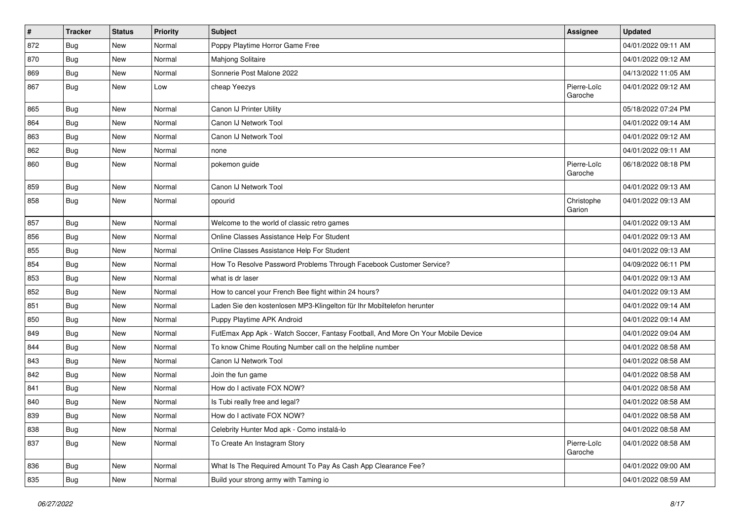| $\pmb{\#}$ | Tracker    | <b>Status</b> | <b>Priority</b> | <b>Subject</b>                                                                   | Assignee               | <b>Updated</b>      |
|------------|------------|---------------|-----------------|----------------------------------------------------------------------------------|------------------------|---------------------|
| 872        | <b>Bug</b> | New           | Normal          | Poppy Playtime Horror Game Free                                                  |                        | 04/01/2022 09:11 AM |
| 870        | Bug        | <b>New</b>    | Normal          | <b>Mahjong Solitaire</b>                                                         |                        | 04/01/2022 09:12 AM |
| 869        | Bug        | New           | Normal          | Sonnerie Post Malone 2022                                                        |                        | 04/13/2022 11:05 AM |
| 867        | <b>Bug</b> | New           | Low             | cheap Yeezys                                                                     | Pierre-Loïc<br>Garoche | 04/01/2022 09:12 AM |
| 865        | <b>Bug</b> | New           | Normal          | Canon IJ Printer Utility                                                         |                        | 05/18/2022 07:24 PM |
| 864        | Bug        | New           | Normal          | Canon IJ Network Tool                                                            |                        | 04/01/2022 09:14 AM |
| 863        | Bug        | New           | Normal          | Canon IJ Network Tool                                                            |                        | 04/01/2022 09:12 AM |
| 862        | <b>Bug</b> | New           | Normal          | none                                                                             |                        | 04/01/2022 09:11 AM |
| 860        | Bug        | <b>New</b>    | Normal          | pokemon guide                                                                    | Pierre-Loïc<br>Garoche | 06/18/2022 08:18 PM |
| 859        | Bug        | New           | Normal          | Canon IJ Network Tool                                                            |                        | 04/01/2022 09:13 AM |
| 858        | Bug        | New           | Normal          | opourid                                                                          | Christophe<br>Garion   | 04/01/2022 09:13 AM |
| 857        | Bug        | New           | Normal          | Welcome to the world of classic retro games                                      |                        | 04/01/2022 09:13 AM |
| 856        | Bug        | New           | Normal          | Online Classes Assistance Help For Student                                       |                        | 04/01/2022 09:13 AM |
| 855        | <b>Bug</b> | New           | Normal          | Online Classes Assistance Help For Student                                       |                        | 04/01/2022 09:13 AM |
| 854        | Bug        | New           | Normal          | How To Resolve Password Problems Through Facebook Customer Service?              |                        | 04/09/2022 06:11 PM |
| 853        | Bug        | New           | Normal          | what is dr laser                                                                 |                        | 04/01/2022 09:13 AM |
| 852        | Bug        | New           | Normal          | How to cancel your French Bee flight within 24 hours?                            |                        | 04/01/2022 09:13 AM |
| 851        | Bug        | New           | Normal          | Laden Sie den kostenlosen MP3-Klingelton für Ihr Mobiltelefon herunter           |                        | 04/01/2022 09:14 AM |
| 850        | Bug        | New           | Normal          | Puppy Playtime APK Android                                                       |                        | 04/01/2022 09:14 AM |
| 849        | Bug        | New           | Normal          | FutEmax App Apk - Watch Soccer, Fantasy Football, And More On Your Mobile Device |                        | 04/01/2022 09:04 AM |
| 844        | <b>Bug</b> | New           | Normal          | To know Chime Routing Number call on the helpline number                         |                        | 04/01/2022 08:58 AM |
| 843        | <b>Bug</b> | New           | Normal          | Canon IJ Network Tool                                                            |                        | 04/01/2022 08:58 AM |
| 842        | Bug        | New           | Normal          | Join the fun game                                                                |                        | 04/01/2022 08:58 AM |
| 841        | Bug        | New           | Normal          | How do I activate FOX NOW?                                                       |                        | 04/01/2022 08:58 AM |
| 840        | <b>Bug</b> | New           | Normal          | Is Tubi really free and legal?                                                   |                        | 04/01/2022 08:58 AM |
| 839        | Bug        | New           | Normal          | How do I activate FOX NOW?                                                       |                        | 04/01/2022 08:58 AM |
| 838        | Bug        | New           | Normal          | Celebrity Hunter Mod apk - Como instalá-lo                                       |                        | 04/01/2022 08:58 AM |
| 837        | <b>Bug</b> | New           | Normal          | To Create An Instagram Story                                                     | Pierre-Loïc<br>Garoche | 04/01/2022 08:58 AM |
| 836        | Bug        | New           | Normal          | What Is The Required Amount To Pay As Cash App Clearance Fee?                    |                        | 04/01/2022 09:00 AM |
| 835        | <b>Bug</b> | New           | Normal          | Build your strong army with Taming io                                            |                        | 04/01/2022 08:59 AM |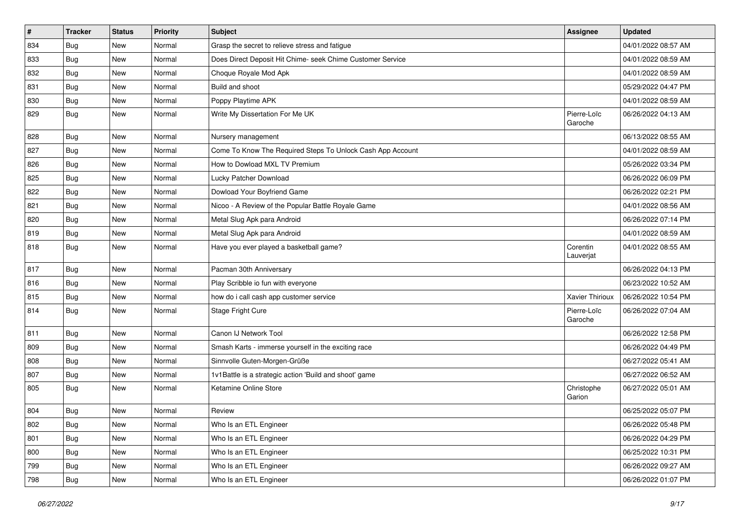| $\vert$ # | <b>Tracker</b> | <b>Status</b> | Priority | Subject                                                    | <b>Assignee</b>        | <b>Updated</b>      |
|-----------|----------------|---------------|----------|------------------------------------------------------------|------------------------|---------------------|
| 834       | Bug            | New           | Normal   | Grasp the secret to relieve stress and fatigue             |                        | 04/01/2022 08:57 AM |
| 833       | Bug            | New           | Normal   | Does Direct Deposit Hit Chime- seek Chime Customer Service |                        | 04/01/2022 08:59 AM |
| 832       | Bug            | New           | Normal   | Choque Royale Mod Apk                                      |                        | 04/01/2022 08:59 AM |
| 831       | Bug            | New           | Normal   | Build and shoot                                            |                        | 05/29/2022 04:47 PM |
| 830       | <b>Bug</b>     | New           | Normal   | Poppy Playtime APK                                         |                        | 04/01/2022 08:59 AM |
| 829       | Bug            | New           | Normal   | Write My Dissertation For Me UK                            | Pierre-Loïc<br>Garoche | 06/26/2022 04:13 AM |
| 828       | Bug            | New           | Normal   | Nursery management                                         |                        | 06/13/2022 08:55 AM |
| 827       | Bug            | New           | Normal   | Come To Know The Required Steps To Unlock Cash App Account |                        | 04/01/2022 08:59 AM |
| 826       | Bug            | New           | Normal   | How to Dowload MXL TV Premium                              |                        | 05/26/2022 03:34 PM |
| 825       | Bug            | New           | Normal   | Lucky Patcher Download                                     |                        | 06/26/2022 06:09 PM |
| 822       | Bug            | New           | Normal   | Dowload Your Boyfriend Game                                |                        | 06/26/2022 02:21 PM |
| 821       | Bug            | New           | Normal   | Nicoo - A Review of the Popular Battle Royale Game         |                        | 04/01/2022 08:56 AM |
| 820       | Bug            | New           | Normal   | Metal Slug Apk para Android                                |                        | 06/26/2022 07:14 PM |
| 819       | <b>Bug</b>     | New           | Normal   | Metal Slug Apk para Android                                |                        | 04/01/2022 08:59 AM |
| 818       | Bug            | New           | Normal   | Have you ever played a basketball game?                    | Corentin<br>Lauverjat  | 04/01/2022 08:55 AM |
| 817       | Bug            | New           | Normal   | Pacman 30th Anniversary                                    |                        | 06/26/2022 04:13 PM |
| 816       | Bug            | New           | Normal   | Play Scribble io fun with everyone                         |                        | 06/23/2022 10:52 AM |
| 815       | Bug            | New           | Normal   | how do i call cash app customer service                    | Xavier Thirioux        | 06/26/2022 10:54 PM |
| 814       | Bug            | New           | Normal   | Stage Fright Cure                                          | Pierre-Loïc<br>Garoche | 06/26/2022 07:04 AM |
| 811       | Bug            | New           | Normal   | Canon IJ Network Tool                                      |                        | 06/26/2022 12:58 PM |
| 809       | Bug            | New           | Normal   | Smash Karts - immerse yourself in the exciting race        |                        | 06/26/2022 04:49 PM |
| 808       | Bug            | New           | Normal   | Sinnvolle Guten-Morgen-Grüße                               |                        | 06/27/2022 05:41 AM |
| 807       | <b>Bug</b>     | New           | Normal   | 1v1Battle is a strategic action 'Build and shoot' game     |                        | 06/27/2022 06:52 AM |
| 805       | Bug            | New           | Normal   | Ketamine Online Store                                      | Christophe<br>Garion   | 06/27/2022 05:01 AM |
| 804       | Bug            | New           | Normal   | Review                                                     |                        | 06/25/2022 05:07 PM |
| 802       | <b>Bug</b>     | New           | Normal   | Who Is an ETL Engineer                                     |                        | 06/26/2022 05:48 PM |
| 801       | Bug            | New           | Normal   | Who Is an ETL Engineer                                     |                        | 06/26/2022 04:29 PM |
| 800       | <b>Bug</b>     | New           | Normal   | Who Is an ETL Engineer                                     |                        | 06/25/2022 10:31 PM |
| 799       | <b>Bug</b>     | New           | Normal   | Who Is an ETL Engineer                                     |                        | 06/26/2022 09:27 AM |
| 798       | <b>Bug</b>     | New           | Normal   | Who Is an ETL Engineer                                     |                        | 06/26/2022 01:07 PM |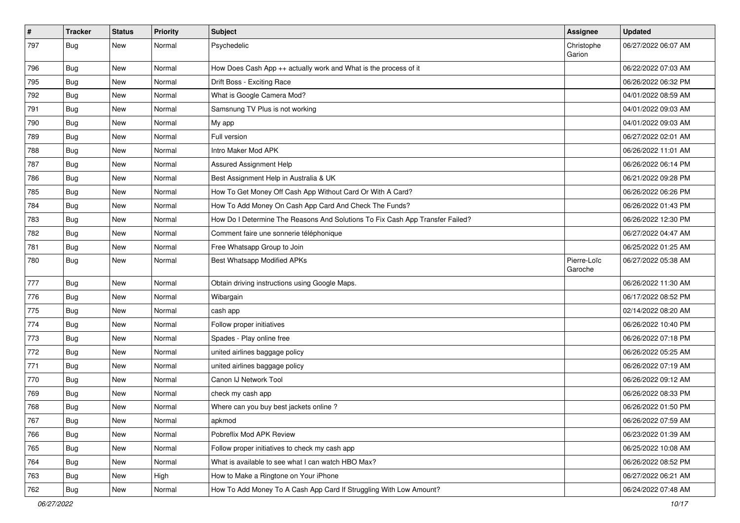| $\pmb{\#}$ | Tracker    | <b>Status</b> | Priority | <b>Subject</b>                                                                | <b>Assignee</b>        | <b>Updated</b>      |
|------------|------------|---------------|----------|-------------------------------------------------------------------------------|------------------------|---------------------|
| 797        | Bug        | New           | Normal   | Psychedelic                                                                   | Christophe<br>Garion   | 06/27/2022 06:07 AM |
| 796        | <b>Bug</b> | New           | Normal   | How Does Cash App ++ actually work and What is the process of it              |                        | 06/22/2022 07:03 AM |
| 795        | <b>Bug</b> | New           | Normal   | Drift Boss - Exciting Race                                                    |                        | 06/26/2022 06:32 PM |
| 792        | Bug        | New           | Normal   | What is Google Camera Mod?                                                    |                        | 04/01/2022 08:59 AM |
| 791        | Bug        | New           | Normal   | Samsnung TV Plus is not working                                               |                        | 04/01/2022 09:03 AM |
| 790        | Bug        | New           | Normal   | My app                                                                        |                        | 04/01/2022 09:03 AM |
| 789        | Bug        | New           | Normal   | Full version                                                                  |                        | 06/27/2022 02:01 AM |
| 788        | <b>Bug</b> | New           | Normal   | Intro Maker Mod APK                                                           |                        | 06/26/2022 11:01 AM |
| 787        | Bug        | New           | Normal   | <b>Assured Assignment Help</b>                                                |                        | 06/26/2022 06:14 PM |
| 786        | <b>Bug</b> | New           | Normal   | Best Assignment Help in Australia & UK                                        |                        | 06/21/2022 09:28 PM |
| 785        | <b>Bug</b> | New           | Normal   | How To Get Money Off Cash App Without Card Or With A Card?                    |                        | 06/26/2022 06:26 PM |
| 784        | Bug        | New           | Normal   | How To Add Money On Cash App Card And Check The Funds?                        |                        | 06/26/2022 01:43 PM |
| 783        | Bug        | New           | Normal   | How Do I Determine The Reasons And Solutions To Fix Cash App Transfer Failed? |                        | 06/26/2022 12:30 PM |
| 782        | Bug        | New           | Normal   | Comment faire une sonnerie téléphonique                                       |                        | 06/27/2022 04:47 AM |
| 781        | <b>Bug</b> | New           | Normal   | Free Whatsapp Group to Join                                                   |                        | 06/25/2022 01:25 AM |
| 780        | Bug        | New           | Normal   | Best Whatsapp Modified APKs                                                   | Pierre-Loïc<br>Garoche | 06/27/2022 05:38 AM |
| 777        | Bug        | New           | Normal   | Obtain driving instructions using Google Maps.                                |                        | 06/26/2022 11:30 AM |
| 776        | Bug        | New           | Normal   | Wibargain                                                                     |                        | 06/17/2022 08:52 PM |
| 775        | Bug        | New           | Normal   | cash app                                                                      |                        | 02/14/2022 08:20 AM |
| 774        | <b>Bug</b> | New           | Normal   | Follow proper initiatives                                                     |                        | 06/26/2022 10:40 PM |
| 773        | Bug        | New           | Normal   | Spades - Play online free                                                     |                        | 06/26/2022 07:18 PM |
| 772        | <b>Bug</b> | New           | Normal   | united airlines baggage policy                                                |                        | 06/26/2022 05:25 AM |
| 771        | <b>Bug</b> | New           | Normal   | united airlines baggage policy                                                |                        | 06/26/2022 07:19 AM |
| 770        | Bug        | <b>New</b>    | Normal   | Canon IJ Network Tool                                                         |                        | 06/26/2022 09:12 AM |
| 769        | <b>Bug</b> | New           | Normal   | check my cash app                                                             |                        | 06/26/2022 08:33 PM |
| 768        | <b>Bug</b> | New           | Normal   | Where can you buy best jackets online?                                        |                        | 06/26/2022 01:50 PM |
| 767        | Bug        | New           | Normal   | apkmod                                                                        |                        | 06/26/2022 07:59 AM |
| 766        | Bug        | New           | Normal   | Pobreflix Mod APK Review                                                      |                        | 06/23/2022 01:39 AM |
| 765        | Bug        | New           | Normal   | Follow proper initiatives to check my cash app                                |                        | 06/25/2022 10:08 AM |
| 764        | Bug        | New           | Normal   | What is available to see what I can watch HBO Max?                            |                        | 06/26/2022 08:52 PM |
| 763        | Bug        | New           | High     | How to Make a Ringtone on Your iPhone                                         |                        | 06/27/2022 06:21 AM |
| 762        | Bug        | New           | Normal   | How To Add Money To A Cash App Card If Struggling With Low Amount?            |                        | 06/24/2022 07:48 AM |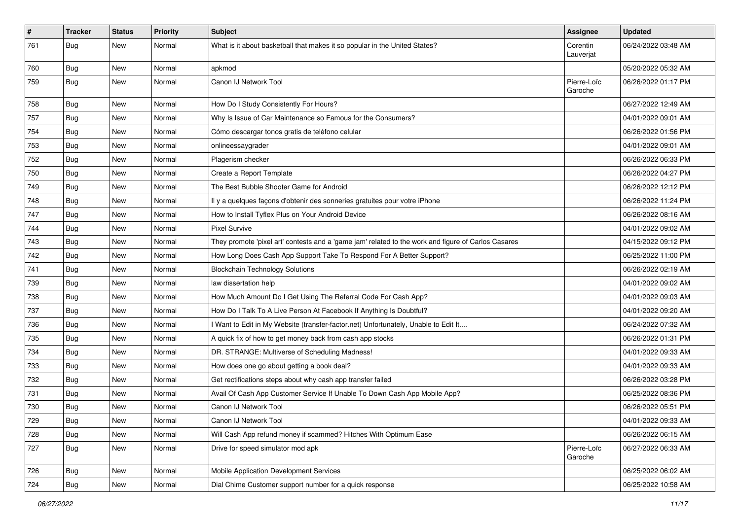| $\sharp$ | <b>Tracker</b> | <b>Status</b> | <b>Priority</b> | <b>Subject</b>                                                                                      | Assignee               | <b>Updated</b>      |
|----------|----------------|---------------|-----------------|-----------------------------------------------------------------------------------------------------|------------------------|---------------------|
| 761      | <b>Bug</b>     | New           | Normal          | What is it about basketball that makes it so popular in the United States?                          | Corentin<br>Lauverjat  | 06/24/2022 03:48 AM |
| 760      | Bug            | New           | Normal          | apkmod                                                                                              |                        | 05/20/2022 05:32 AM |
| 759      | <b>Bug</b>     | <b>New</b>    | Normal          | Canon IJ Network Tool                                                                               | Pierre-Loïc<br>Garoche | 06/26/2022 01:17 PM |
| 758      | Bug            | <b>New</b>    | Normal          | How Do I Study Consistently For Hours?                                                              |                        | 06/27/2022 12:49 AM |
| 757      | Bug            | New           | Normal          | Why Is Issue of Car Maintenance so Famous for the Consumers?                                        |                        | 04/01/2022 09:01 AM |
| 754      | Bug            | <b>New</b>    | Normal          | Cómo descargar tonos gratis de teléfono celular                                                     |                        | 06/26/2022 01:56 PM |
| 753      | Bug            | New           | Normal          | onlineessaygrader                                                                                   |                        | 04/01/2022 09:01 AM |
| 752      | Bug            | <b>New</b>    | Normal          | Plagerism checker                                                                                   |                        | 06/26/2022 06:33 PM |
| 750      | Bug            | New           | Normal          | Create a Report Template                                                                            |                        | 06/26/2022 04:27 PM |
| 749      | Bug            | New           | Normal          | The Best Bubble Shooter Game for Android                                                            |                        | 06/26/2022 12:12 PM |
| 748      | Bug            | <b>New</b>    | Normal          | Il y a quelques façons d'obtenir des sonneries gratuites pour votre iPhone                          |                        | 06/26/2022 11:24 PM |
| 747      | Bug            | New           | Normal          | How to Install Tyflex Plus on Your Android Device                                                   |                        | 06/26/2022 08:16 AM |
| 744      | Bug            | New           | Normal          | <b>Pixel Survive</b>                                                                                |                        | 04/01/2022 09:02 AM |
| 743      | Bug            | New           | Normal          | They promote 'pixel art' contests and a 'game jam' related to the work and figure of Carlos Casares |                        | 04/15/2022 09:12 PM |
| 742      | Bug            | <b>New</b>    | Normal          | How Long Does Cash App Support Take To Respond For A Better Support?                                |                        | 06/25/2022 11:00 PM |
| 741      | Bug            | <b>New</b>    | Normal          | <b>Blockchain Technology Solutions</b>                                                              |                        | 06/26/2022 02:19 AM |
| 739      | Bug            | <b>New</b>    | Normal          | law dissertation help                                                                               |                        | 04/01/2022 09:02 AM |
| 738      | Bug            | New           | Normal          | How Much Amount Do I Get Using The Referral Code For Cash App?                                      |                        | 04/01/2022 09:03 AM |
| 737      | Bug            | <b>New</b>    | Normal          | How Do I Talk To A Live Person At Facebook If Anything Is Doubtful?                                 |                        | 04/01/2022 09:20 AM |
| 736      | Bug            | <b>New</b>    | Normal          | I Want to Edit in My Website (transfer-factor.net) Unfortunately, Unable to Edit It                 |                        | 06/24/2022 07:32 AM |
| 735      | Bug            | <b>New</b>    | Normal          | A quick fix of how to get money back from cash app stocks                                           |                        | 06/26/2022 01:31 PM |
| 734      | Bug            | New           | Normal          | DR. STRANGE: Multiverse of Scheduling Madness!                                                      |                        | 04/01/2022 09:33 AM |
| 733      | Bug            | New           | Normal          | How does one go about getting a book deal?                                                          |                        | 04/01/2022 09:33 AM |
| 732      | Bug            | <b>New</b>    | Normal          | Get rectifications steps about why cash app transfer failed                                         |                        | 06/26/2022 03:28 PM |
| 731      | Bug            | New           | Normal          | Avail Of Cash App Customer Service If Unable To Down Cash App Mobile App?                           |                        | 06/25/2022 08:36 PM |
| 730      | <b>Bug</b>     | <b>New</b>    | Normal          | Canon IJ Network Tool                                                                               |                        | 06/26/2022 05:51 PM |
| 729      | Bug            | New           | Normal          | Canon IJ Network Tool                                                                               |                        | 04/01/2022 09:33 AM |
| 728      | Bug            | New           | Normal          | Will Cash App refund money if scammed? Hitches With Optimum Ease                                    |                        | 06/26/2022 06:15 AM |
| 727      | Bug            | New           | Normal          | Drive for speed simulator mod apk                                                                   | Pierre-Loïc<br>Garoche | 06/27/2022 06:33 AM |
| 726      | Bug            | New           | Normal          | Mobile Application Development Services                                                             |                        | 06/25/2022 06:02 AM |
| 724      | <b>Bug</b>     | New           | Normal          | Dial Chime Customer support number for a quick response                                             |                        | 06/25/2022 10:58 AM |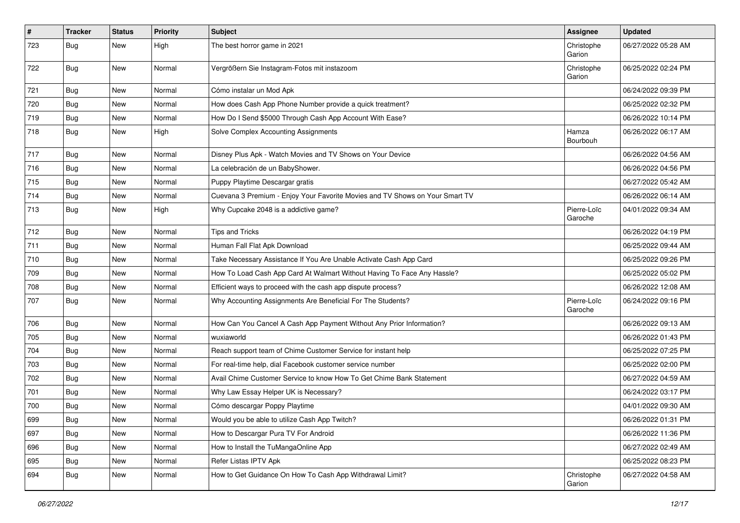| $\pmb{\#}$ | Tracker    | <b>Status</b> | <b>Priority</b> | Subject                                                                      | <b>Assignee</b>        | <b>Updated</b>      |
|------------|------------|---------------|-----------------|------------------------------------------------------------------------------|------------------------|---------------------|
| 723        | <b>Bug</b> | New           | High            | The best horror game in 2021                                                 | Christophe<br>Garion   | 06/27/2022 05:28 AM |
| 722        | <b>Bug</b> | New           | Normal          | Vergrößern Sie Instagram-Fotos mit instazoom                                 | Christophe<br>Garion   | 06/25/2022 02:24 PM |
| 721        | Bug        | New           | Normal          | Cómo instalar un Mod Apk                                                     |                        | 06/24/2022 09:39 PM |
| 720        | <b>Bug</b> | New           | Normal          | How does Cash App Phone Number provide a quick treatment?                    |                        | 06/25/2022 02:32 PM |
| 719        | <b>Bug</b> | New           | Normal          | How Do I Send \$5000 Through Cash App Account With Ease?                     |                        | 06/26/2022 10:14 PM |
| 718        | Bug        | New           | High            | Solve Complex Accounting Assignments                                         | Hamza<br>Bourbouh      | 06/26/2022 06:17 AM |
| 717        | <b>Bug</b> | New           | Normal          | Disney Plus Apk - Watch Movies and TV Shows on Your Device                   |                        | 06/26/2022 04:56 AM |
| 716        | <b>Bug</b> | New           | Normal          | La celebración de un BabyShower.                                             |                        | 06/26/2022 04:56 PM |
| 715        | Bug        | New           | Normal          | Puppy Playtime Descargar gratis                                              |                        | 06/27/2022 05:42 AM |
| 714        | <b>Bug</b> | New           | Normal          | Cuevana 3 Premium - Enjoy Your Favorite Movies and TV Shows on Your Smart TV |                        | 06/26/2022 06:14 AM |
| 713        | <b>Bug</b> | New           | High            | Why Cupcake 2048 is a addictive game?                                        | Pierre-Loïc<br>Garoche | 04/01/2022 09:34 AM |
| 712        | Bug        | New           | Normal          | <b>Tips and Tricks</b>                                                       |                        | 06/26/2022 04:19 PM |
| 711        | <b>Bug</b> | New           | Normal          | Human Fall Flat Apk Download                                                 |                        | 06/25/2022 09:44 AM |
| 710        | Bug        | New           | Normal          | Take Necessary Assistance If You Are Unable Activate Cash App Card           |                        | 06/25/2022 09:26 PM |
| 709        | <b>Bug</b> | New           | Normal          | How To Load Cash App Card At Walmart Without Having To Face Any Hassle?      |                        | 06/25/2022 05:02 PM |
| 708        | Bug        | New           | Normal          | Efficient ways to proceed with the cash app dispute process?                 |                        | 06/26/2022 12:08 AM |
| 707        | Bug        | New           | Normal          | Why Accounting Assignments Are Beneficial For The Students?                  | Pierre-Loïc<br>Garoche | 06/24/2022 09:16 PM |
| 706        | <b>Bug</b> | New           | Normal          | How Can You Cancel A Cash App Payment Without Any Prior Information?         |                        | 06/26/2022 09:13 AM |
| 705        | <b>Bug</b> | New           | Normal          | wuxiaworld                                                                   |                        | 06/26/2022 01:43 PM |
| 704        | <b>Bug</b> | New           | Normal          | Reach support team of Chime Customer Service for instant help                |                        | 06/25/2022 07:25 PM |
| 703        | Bug        | New           | Normal          | For real-time help, dial Facebook customer service number                    |                        | 06/25/2022 02:00 PM |
| 702        | <b>Bug</b> | New           | Normal          | Avail Chime Customer Service to know How To Get Chime Bank Statement         |                        | 06/27/2022 04:59 AM |
| 701        | Bug        | New           | Normal          | Why Law Essay Helper UK is Necessary?                                        |                        | 06/24/2022 03:17 PM |
| 700        | <b>Bug</b> | New           | Normal          | Cómo descargar Poppy Playtime                                                |                        | 04/01/2022 09:30 AM |
| 699        | <b>Bug</b> | New           | Normal          | Would you be able to utilize Cash App Twitch?                                |                        | 06/26/2022 01:31 PM |
| 697        | <b>Bug</b> | New           | Normal          | How to Descargar Pura TV For Android                                         |                        | 06/26/2022 11:36 PM |
| 696        | Bug        | New           | Normal          | How to Install the TuMangaOnline App                                         |                        | 06/27/2022 02:49 AM |
| 695        | Bug        | New           | Normal          | Refer Listas IPTV Apk                                                        |                        | 06/25/2022 08:23 PM |
| 694        | Bug        | New           | Normal          | How to Get Guidance On How To Cash App Withdrawal Limit?                     | Christophe<br>Garion   | 06/27/2022 04:58 AM |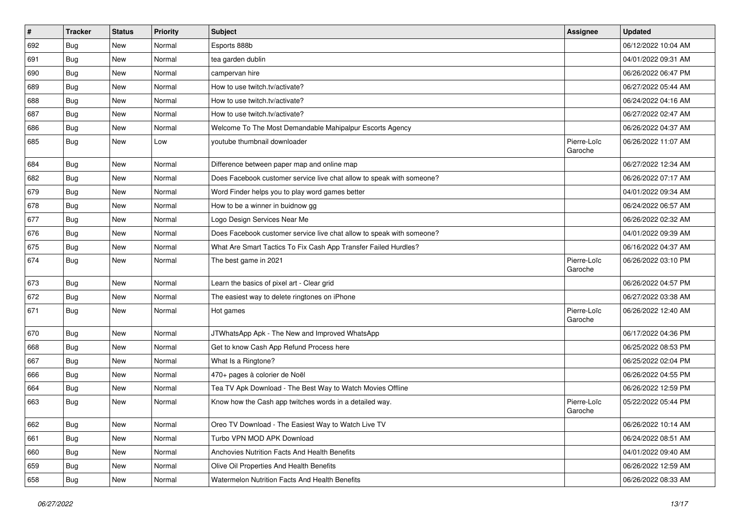| $\pmb{\#}$ | <b>Tracker</b> | <b>Status</b> | Priority | Subject                                                               | Assignee               | <b>Updated</b>      |
|------------|----------------|---------------|----------|-----------------------------------------------------------------------|------------------------|---------------------|
| 692        | <b>Bug</b>     | New           | Normal   | Esports 888b                                                          |                        | 06/12/2022 10:04 AM |
| 691        | Bug            | <b>New</b>    | Normal   | tea garden dublin                                                     |                        | 04/01/2022 09:31 AM |
| 690        | <b>Bug</b>     | New           | Normal   | campervan hire                                                        |                        | 06/26/2022 06:47 PM |
| 689        | Bug            | New           | Normal   | How to use twitch.tv/activate?                                        |                        | 06/27/2022 05:44 AM |
| 688        | Bug            | New           | Normal   | How to use twitch.tv/activate?                                        |                        | 06/24/2022 04:16 AM |
| 687        | Bug            | New           | Normal   | How to use twitch.tv/activate?                                        |                        | 06/27/2022 02:47 AM |
| 686        | Bug            | New           | Normal   | Welcome To The Most Demandable Mahipalpur Escorts Agency              |                        | 06/26/2022 04:37 AM |
| 685        | Bug            | New           | Low      | youtube thumbnail downloader                                          | Pierre-Loïc<br>Garoche | 06/26/2022 11:07 AM |
| 684        | Bug            | New           | Normal   | Difference between paper map and online map                           |                        | 06/27/2022 12:34 AM |
| 682        | Bug            | New           | Normal   | Does Facebook customer service live chat allow to speak with someone? |                        | 06/26/2022 07:17 AM |
| 679        | Bug            | New           | Normal   | Word Finder helps you to play word games better                       |                        | 04/01/2022 09:34 AM |
| 678        | Bug            | New           | Normal   | How to be a winner in buidnow gg                                      |                        | 06/24/2022 06:57 AM |
| 677        | Bug            | New           | Normal   | Logo Design Services Near Me                                          |                        | 06/26/2022 02:32 AM |
| 676        | Bug            | <b>New</b>    | Normal   | Does Facebook customer service live chat allow to speak with someone? |                        | 04/01/2022 09:39 AM |
| 675        | Bug            | New           | Normal   | What Are Smart Tactics To Fix Cash App Transfer Failed Hurdles?       |                        | 06/16/2022 04:37 AM |
| 674        | Bug            | New           | Normal   | The best game in 2021                                                 | Pierre-Loïc<br>Garoche | 06/26/2022 03:10 PM |
| 673        | Bug            | New           | Normal   | Learn the basics of pixel art - Clear grid                            |                        | 06/26/2022 04:57 PM |
| 672        | Bug            | New           | Normal   | The easiest way to delete ringtones on iPhone                         |                        | 06/27/2022 03:38 AM |
| 671        | Bug            | New           | Normal   | Hot games                                                             | Pierre-Loïc<br>Garoche | 06/26/2022 12:40 AM |
| 670        | Bug            | <b>New</b>    | Normal   | JTWhatsApp Apk - The New and Improved WhatsApp                        |                        | 06/17/2022 04:36 PM |
| 668        | Bug            | New           | Normal   | Get to know Cash App Refund Process here                              |                        | 06/25/2022 08:53 PM |
| 667        | Bug            | New           | Normal   | What Is a Ringtone?                                                   |                        | 06/25/2022 02:04 PM |
| 666        | Bug            | New           | Normal   | 470+ pages à colorier de Noël                                         |                        | 06/26/2022 04:55 PM |
| 664        | <b>Bug</b>     | New           | Normal   | Tea TV Apk Download - The Best Way to Watch Movies Offline            |                        | 06/26/2022 12:59 PM |
| 663        | <b>Bug</b>     | New           | Normal   | Know how the Cash app twitches words in a detailed way.               | Pierre-Loïc<br>Garoche | 05/22/2022 05:44 PM |
| 662        | <b>Bug</b>     | New           | Normal   | Oreo TV Download - The Easiest Way to Watch Live TV                   |                        | 06/26/2022 10:14 AM |
| 661        | Bug            | New           | Normal   | Turbo VPN MOD APK Download                                            |                        | 06/24/2022 08:51 AM |
| 660        | <b>Bug</b>     | New           | Normal   | Anchovies Nutrition Facts And Health Benefits                         |                        | 04/01/2022 09:40 AM |
| 659        | <b>Bug</b>     | New           | Normal   | Olive Oil Properties And Health Benefits                              |                        | 06/26/2022 12:59 AM |
| 658        | <b>Bug</b>     | New           | Normal   | Watermelon Nutrition Facts And Health Benefits                        |                        | 06/26/2022 08:33 AM |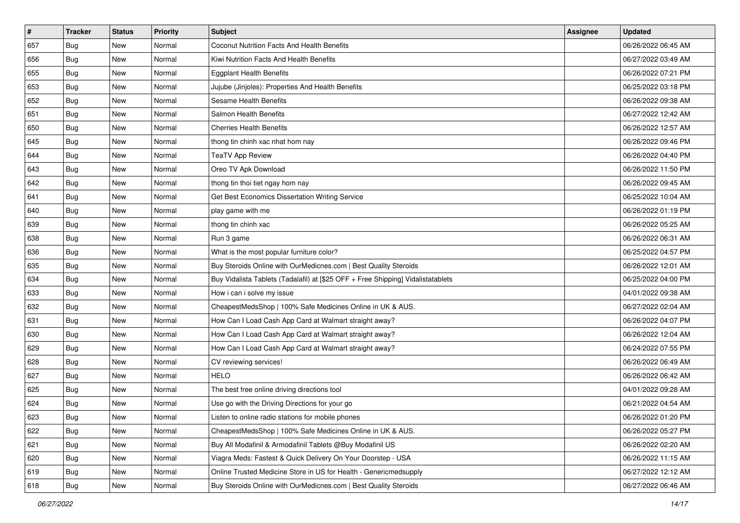| $\sharp$ | <b>Tracker</b> | <b>Status</b> | <b>Priority</b> | Subject                                                                          | <b>Assignee</b> | <b>Updated</b>      |
|----------|----------------|---------------|-----------------|----------------------------------------------------------------------------------|-----------------|---------------------|
| 657      | <b>Bug</b>     | New           | Normal          | Coconut Nutrition Facts And Health Benefits                                      |                 | 06/26/2022 06:45 AM |
| 656      | <b>Bug</b>     | <b>New</b>    | Normal          | Kiwi Nutrition Facts And Health Benefits                                         |                 | 06/27/2022 03:49 AM |
| 655      | Bug            | New           | Normal          | <b>Eggplant Health Benefits</b>                                                  |                 | 06/26/2022 07:21 PM |
| 653      | Bug            | New           | Normal          | Jujube (Jinjoles): Properties And Health Benefits                                |                 | 06/25/2022 03:18 PM |
| 652      | Bug            | New           | Normal          | <b>Sesame Health Benefits</b>                                                    |                 | 06/26/2022 09:38 AM |
| 651      | Bug            | New           | Normal          | Salmon Health Benefits                                                           |                 | 06/27/2022 12:42 AM |
| 650      | Bug            | New           | Normal          | <b>Cherries Health Benefits</b>                                                  |                 | 06/26/2022 12:57 AM |
| 645      | <b>Bug</b>     | New           | Normal          | thong tin chinh xac nhat hom nay                                                 |                 | 06/26/2022 09:46 PM |
| 644      | <b>Bug</b>     | New           | Normal          | <b>TeaTV App Review</b>                                                          |                 | 06/26/2022 04:40 PM |
| 643      | Bug            | New           | Normal          | Oreo TV Apk Download                                                             |                 | 06/26/2022 11:50 PM |
| 642      | <b>Bug</b>     | New           | Normal          | thong tin thoi tiet ngay hom nay                                                 |                 | 06/26/2022 09:45 AM |
| 641      | Bug            | New           | Normal          | Get Best Economics Dissertation Writing Service                                  |                 | 06/25/2022 10:04 AM |
| 640      | Bug            | New           | Normal          | play game with me                                                                |                 | 06/26/2022 01:19 PM |
| 639      | <b>Bug</b>     | New           | Normal          | thong tin chinh xac                                                              |                 | 06/26/2022 05:25 AM |
| 638      | <b>Bug</b>     | New           | Normal          | Run 3 game                                                                       |                 | 06/26/2022 06:31 AM |
| 636      | Bug            | New           | Normal          | What is the most popular furniture color?                                        |                 | 06/25/2022 04:57 PM |
| 635      | Bug            | New           | Normal          | Buy Steroids Online with OurMedicnes.com   Best Quality Steroids                 |                 | 06/26/2022 12:01 AM |
| 634      | <b>Bug</b>     | New           | Normal          | Buy Vidalista Tablets (Tadalafil) at [\$25 OFF + Free Shipping] Vidalistatablets |                 | 06/25/2022 04:00 PM |
| 633      | <b>Bug</b>     | New           | Normal          | How i can i solve my issue                                                       |                 | 04/01/2022 09:38 AM |
| 632      | <b>Bug</b>     | New           | Normal          | CheapestMedsShop   100% Safe Medicines Online in UK & AUS.                       |                 | 06/27/2022 02:04 AM |
| 631      | Bug            | New           | Normal          | How Can I Load Cash App Card at Walmart straight away?                           |                 | 06/26/2022 04:07 PM |
| 630      | <b>Bug</b>     | New           | Normal          | How Can I Load Cash App Card at Walmart straight away?                           |                 | 06/26/2022 12:04 AM |
| 629      | Bug            | New           | Normal          | How Can I Load Cash App Card at Walmart straight away?                           |                 | 06/24/2022 07:55 PM |
| 628      | <b>Bug</b>     | New           | Normal          | CV reviewing services!                                                           |                 | 06/26/2022 06:49 AM |
| 627      | <b>Bug</b>     | New           | Normal          | <b>HELO</b>                                                                      |                 | 06/26/2022 06:42 AM |
| 625      | Bug            | New           | Normal          | The best free online driving directions tool                                     |                 | 04/01/2022 09:28 AM |
| 624      | <b>Bug</b>     | New           | Normal          | Use go with the Driving Directions for your go                                   |                 | 06/21/2022 04:54 AM |
| 623      | <b>Bug</b>     | New           | Normal          | Listen to online radio stations for mobile phones                                |                 | 06/26/2022 01:20 PM |
| 622      | Bug            | New           | Normal          | CheapestMedsShop   100% Safe Medicines Online in UK & AUS.                       |                 | 06/26/2022 05:27 PM |
| 621      | Bug            | New           | Normal          | Buy All Modafinil & Armodafinil Tablets @Buy Modafinil US                        |                 | 06/26/2022 02:20 AM |
| 620      | <b>Bug</b>     | New           | Normal          | Viagra Meds: Fastest & Quick Delivery On Your Doorstep - USA                     |                 | 06/26/2022 11:15 AM |
| 619      | <b>Bug</b>     | New           | Normal          | Online Trusted Medicine Store in US for Health - Genericmedsupply                |                 | 06/27/2022 12:12 AM |
| 618      | <b>Bug</b>     | New           | Normal          | Buy Steroids Online with OurMedicnes.com   Best Quality Steroids                 |                 | 06/27/2022 06:46 AM |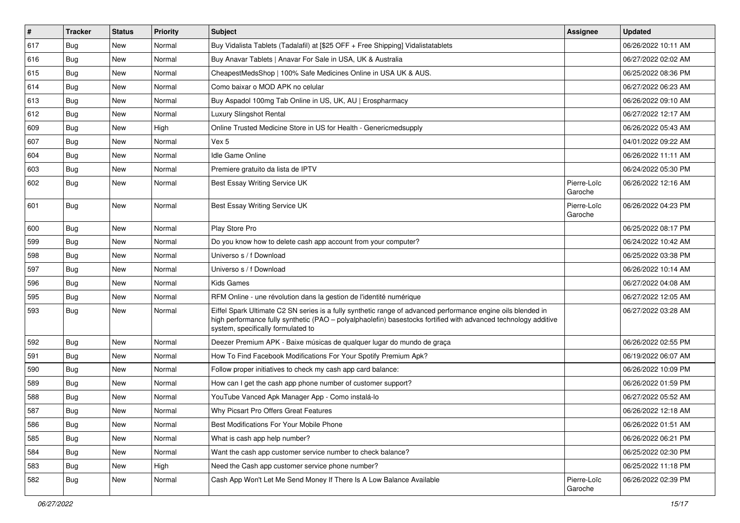| #   | <b>Tracker</b> | <b>Status</b> | <b>Priority</b> | <b>Subject</b>                                                                                                                                                                                                                                                        | Assignee               | <b>Updated</b>      |
|-----|----------------|---------------|-----------------|-----------------------------------------------------------------------------------------------------------------------------------------------------------------------------------------------------------------------------------------------------------------------|------------------------|---------------------|
| 617 | <b>Bug</b>     | New           | Normal          | Buy Vidalista Tablets (Tadalafil) at [\$25 OFF + Free Shipping] Vidalistatablets                                                                                                                                                                                      |                        | 06/26/2022 10:11 AM |
| 616 | Bug            | New           | Normal          | Buy Anavar Tablets   Anavar For Sale in USA, UK & Australia                                                                                                                                                                                                           |                        | 06/27/2022 02:02 AM |
| 615 | Bug            | New           | Normal          | CheapestMedsShop   100% Safe Medicines Online in USA UK & AUS.                                                                                                                                                                                                        |                        | 06/25/2022 08:36 PM |
| 614 | Bug            | New           | Normal          | Como baixar o MOD APK no celular                                                                                                                                                                                                                                      |                        | 06/27/2022 06:23 AM |
| 613 | Bug            | New           | Normal          | Buy Aspadol 100mg Tab Online in US, UK, AU   Erospharmacy                                                                                                                                                                                                             |                        | 06/26/2022 09:10 AM |
| 612 | <b>Bug</b>     | New           | Normal          | <b>Luxury Slingshot Rental</b>                                                                                                                                                                                                                                        |                        | 06/27/2022 12:17 AM |
| 609 | Bug            | New           | High            | Online Trusted Medicine Store in US for Health - Genericmedsupply                                                                                                                                                                                                     |                        | 06/26/2022 05:43 AM |
| 607 | Bug            | New           | Normal          | Vex 5                                                                                                                                                                                                                                                                 |                        | 04/01/2022 09:22 AM |
| 604 | Bug            | New           | Normal          | <b>Idle Game Online</b>                                                                                                                                                                                                                                               |                        | 06/26/2022 11:11 AM |
| 603 | Bug            | New           | Normal          | Premiere gratuito da lista de IPTV                                                                                                                                                                                                                                    |                        | 06/24/2022 05:30 PM |
| 602 | Bug            | New           | Normal          | Best Essay Writing Service UK                                                                                                                                                                                                                                         | Pierre-Loïc<br>Garoche | 06/26/2022 12:16 AM |
| 601 | Bug            | New           | Normal          | Best Essay Writing Service UK                                                                                                                                                                                                                                         | Pierre-Loïc<br>Garoche | 06/26/2022 04:23 PM |
| 600 | Bug            | New           | Normal          | Play Store Pro                                                                                                                                                                                                                                                        |                        | 06/25/2022 08:17 PM |
| 599 | Bug            | New           | Normal          | Do you know how to delete cash app account from your computer?                                                                                                                                                                                                        |                        | 06/24/2022 10:42 AM |
| 598 | Bug            | New           | Normal          | Universo s / f Download                                                                                                                                                                                                                                               |                        | 06/25/2022 03:38 PM |
| 597 | <b>Bug</b>     | New           | Normal          | Universo s / f Download                                                                                                                                                                                                                                               |                        | 06/26/2022 10:14 AM |
| 596 | Bug            | New           | Normal          | <b>Kids Games</b>                                                                                                                                                                                                                                                     |                        | 06/27/2022 04:08 AM |
| 595 | <b>Bug</b>     | New           | Normal          | RFM Online - une révolution dans la gestion de l'identité numérique                                                                                                                                                                                                   |                        | 06/27/2022 12:05 AM |
| 593 | Bug            | New           | Normal          | Eiffel Spark Ultimate C2 SN series is a fully synthetic range of advanced performance engine oils blended in<br>high performance fully synthetic (PAO - polyalphaolefin) basestocks fortified with advanced technology additive<br>system, specifically formulated to |                        | 06/27/2022 03:28 AM |
| 592 | Bug            | New           | Normal          | Deezer Premium APK - Baixe músicas de qualquer lugar do mundo de graça                                                                                                                                                                                                |                        | 06/26/2022 02:55 PM |
| 591 | Bug            | New           | Normal          | How To Find Facebook Modifications For Your Spotify Premium Apk?                                                                                                                                                                                                      |                        | 06/19/2022 06:07 AM |
| 590 | Bug            | New           | Normal          | Follow proper initiatives to check my cash app card balance:                                                                                                                                                                                                          |                        | 06/26/2022 10:09 PM |
| 589 | Bug            | New           | Normal          | How can I get the cash app phone number of customer support?                                                                                                                                                                                                          |                        | 06/26/2022 01:59 PM |
| 588 | <b>Bug</b>     | New           | Normal          | YouTube Vanced Apk Manager App - Como instalá-lo                                                                                                                                                                                                                      |                        | 06/27/2022 05:52 AM |
| 587 | Bug            | New           | Normal          | Why Picsart Pro Offers Great Features                                                                                                                                                                                                                                 |                        | 06/26/2022 12:18 AM |
| 586 | <b>Bug</b>     | New           | Normal          | Best Modifications For Your Mobile Phone                                                                                                                                                                                                                              |                        | 06/26/2022 01:51 AM |
| 585 | Bug            | New           | Normal          | What is cash app help number?                                                                                                                                                                                                                                         |                        | 06/26/2022 06:21 PM |
| 584 | Bug            | New           | Normal          | Want the cash app customer service number to check balance?                                                                                                                                                                                                           |                        | 06/25/2022 02:30 PM |
| 583 | Bug            | New           | High            | Need the Cash app customer service phone number?                                                                                                                                                                                                                      |                        | 06/25/2022 11:18 PM |
| 582 | <b>Bug</b>     | New           | Normal          | Cash App Won't Let Me Send Money If There Is A Low Balance Available                                                                                                                                                                                                  | Pierre-Loïc<br>Garoche | 06/26/2022 02:39 PM |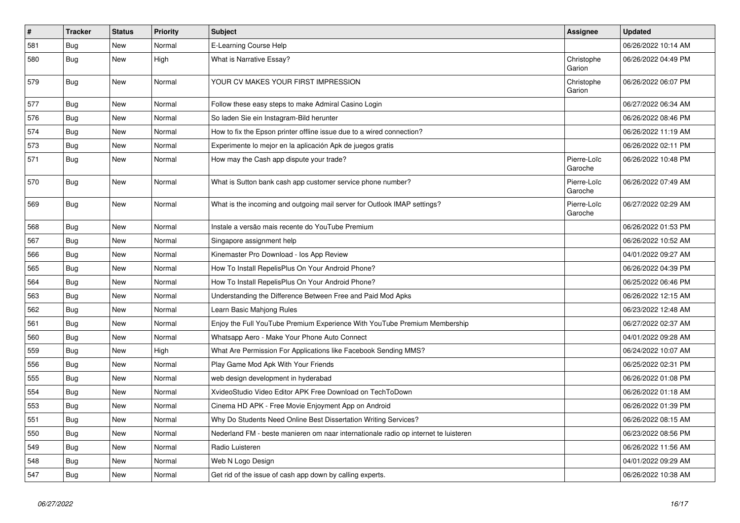| $\pmb{\sharp}$ | <b>Tracker</b> | <b>Status</b> | Priority | <b>Subject</b>                                                                      | Assignee               | <b>Updated</b>      |
|----------------|----------------|---------------|----------|-------------------------------------------------------------------------------------|------------------------|---------------------|
| 581            | Bug            | New           | Normal   | E-Learning Course Help                                                              |                        | 06/26/2022 10:14 AM |
| 580            | Bug            | New           | High     | <b>What is Narrative Essay?</b>                                                     | Christophe<br>Garion   | 06/26/2022 04:49 PM |
| 579            | Bug            | New           | Normal   | YOUR CV MAKES YOUR FIRST IMPRESSION                                                 | Christophe<br>Garion   | 06/26/2022 06:07 PM |
| 577            | Bug            | New           | Normal   | Follow these easy steps to make Admiral Casino Login                                |                        | 06/27/2022 06:34 AM |
| 576            | <b>Bug</b>     | <b>New</b>    | Normal   | So laden Sie ein Instagram-Bild herunter                                            |                        | 06/26/2022 08:46 PM |
| 574            | Bug            | New           | Normal   | How to fix the Epson printer offline issue due to a wired connection?               |                        | 06/26/2022 11:19 AM |
| 573            | Bug            | New           | Normal   | Experimente lo mejor en la aplicación Apk de juegos gratis                          |                        | 06/26/2022 02:11 PM |
| 571            | Bug            | New           | Normal   | How may the Cash app dispute your trade?                                            | Pierre-Loïc<br>Garoche | 06/26/2022 10:48 PM |
| 570            | <b>Bug</b>     | <b>New</b>    | Normal   | What is Sutton bank cash app customer service phone number?                         | Pierre-Loïc<br>Garoche | 06/26/2022 07:49 AM |
| 569            | Bug            | <b>New</b>    | Normal   | What is the incoming and outgoing mail server for Outlook IMAP settings?            | Pierre-Loïc<br>Garoche | 06/27/2022 02:29 AM |
| 568            | Bug            | New           | Normal   | Instale a versão mais recente do YouTube Premium                                    |                        | 06/26/2022 01:53 PM |
| 567            | Bug            | New           | Normal   | Singapore assignment help                                                           |                        | 06/26/2022 10:52 AM |
| 566            | Bug            | New           | Normal   | Kinemaster Pro Download - los App Review                                            |                        | 04/01/2022 09:27 AM |
| 565            | Bug            | New           | Normal   | How To Install RepelisPlus On Your Android Phone?                                   |                        | 06/26/2022 04:39 PM |
| 564            | Bug            | New           | Normal   | How To Install RepelisPlus On Your Android Phone?                                   |                        | 06/25/2022 06:46 PM |
| 563            | <b>Bug</b>     | New           | Normal   | Understanding the Difference Between Free and Paid Mod Apks                         |                        | 06/26/2022 12:15 AM |
| 562            | Bug            | New           | Normal   | Learn Basic Mahjong Rules                                                           |                        | 06/23/2022 12:48 AM |
| 561            | Bug            | New           | Normal   | Enjoy the Full YouTube Premium Experience With YouTube Premium Membership           |                        | 06/27/2022 02:37 AM |
| 560            | Bug            | New           | Normal   | Whatsapp Aero - Make Your Phone Auto Connect                                        |                        | 04/01/2022 09:28 AM |
| 559            | Bug            | New           | High     | What Are Permission For Applications like Facebook Sending MMS?                     |                        | 06/24/2022 10:07 AM |
| 556            | Bug            | New           | Normal   | Play Game Mod Apk With Your Friends                                                 |                        | 06/25/2022 02:31 PM |
| 555            | Bug            | New           | Normal   | web design development in hyderabad                                                 |                        | 06/26/2022 01:08 PM |
| 554            | Bug            | New           | Normal   | XvideoStudio Video Editor APK Free Download on TechToDown                           |                        | 06/26/2022 01:18 AM |
| 553            | Bug            | <b>New</b>    | Normal   | Cinema HD APK - Free Movie Enjoyment App on Android                                 |                        | 06/26/2022 01:39 PM |
| 551            | Bug            | New           | Normal   | Why Do Students Need Online Best Dissertation Writing Services?                     |                        | 06/26/2022 08:15 AM |
| 550            | Bug            | New           | Normal   | Nederland FM - beste manieren om naar internationale radio op internet te luisteren |                        | 06/23/2022 08:56 PM |
| 549            | Bug            | <b>New</b>    | Normal   | Radio Luisteren                                                                     |                        | 06/26/2022 11:56 AM |
| 548            | Bug            | <b>New</b>    | Normal   | Web N Logo Design                                                                   |                        | 04/01/2022 09:29 AM |
| 547            | Bug            | <b>New</b>    | Normal   | Get rid of the issue of cash app down by calling experts.                           |                        | 06/26/2022 10:38 AM |